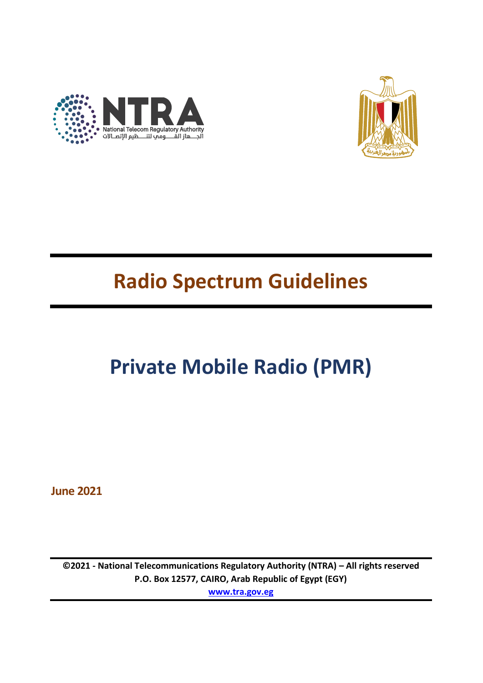



# **Radio Spectrum Guidelines**

# **Private Mobile Radio (PMR)**

**June 2021**

**©2021 - National Telecommunications Regulatory Authority (NTRA) – All rights reserved P.O. Box 12577, CAIRO, Arab Republic of Egypt (EGY) [www.tra.gov.eg](http://www.tra.gov.eg/)**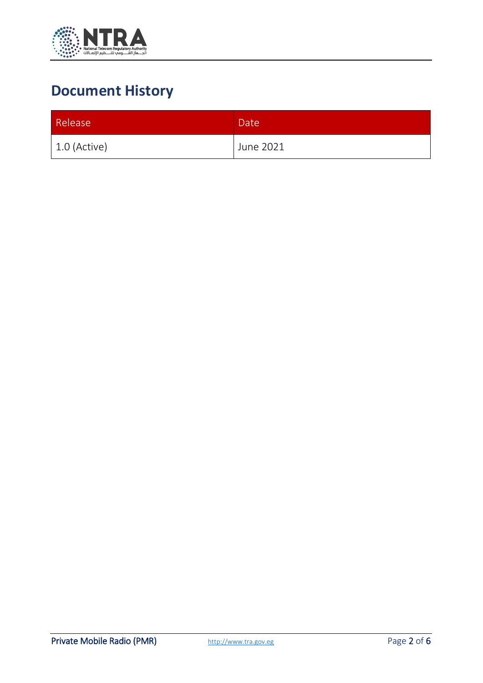

# **Document History**

| Release        | Date <sup>1</sup> |
|----------------|-------------------|
| $1.0$ (Active) | June 2021         |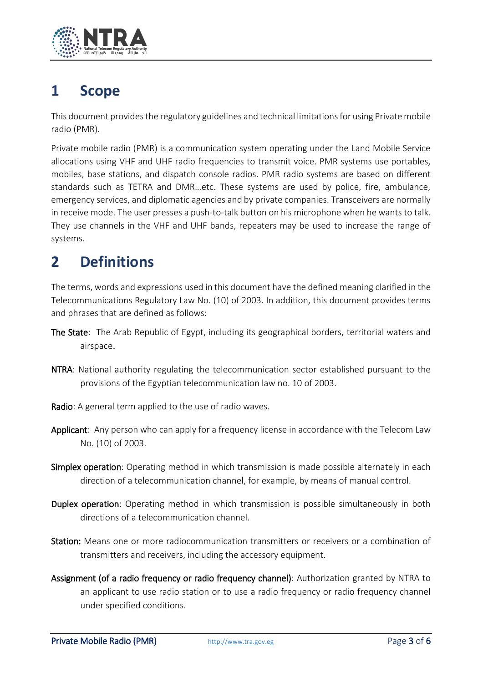

# **1 Scope**

This document provides the regulatory guidelines and technical limitations for using Private mobile radio (PMR).

Private mobile radio (PMR) is a communication system operating under the Land Mobile Service allocations using VHF and UHF radio frequencies to transmit voice. PMR systems use portables, mobiles, base stations, and dispatch console radios. PMR radio systems are based on different standards such as TETRA and DMR…etc. These systems are used by police, fire, ambulance, emergency services, and diplomatic agencies and by private companies. Transceivers are normally in receive mode. The user presses a push-to-talk button on his microphone when he wants to talk. They use channels in the VHF and UHF bands, repeaters may be used to increase the range of systems.

# **2 Definitions**

The terms, words and expressions used in this document have the defined meaning clarified in the Telecommunications Regulatory Law No. (10) of 2003. In addition, this document provides terms and phrases that are defined as follows:

- The State: The Arab Republic of Egypt, including its geographical borders, territorial waters and airspace.
- NTRA: National authority regulating the telecommunication sector established pursuant to the provisions of the Egyptian telecommunication law no. 10 of 2003.
- Radio: A general term applied to the use of radio waves.
- Applicant: Any person who can apply for a frequency license in accordance with the Telecom Law No. (10) of 2003.
- Simplex operation: Operating method in which transmission is made possible alternately in each direction of a telecommunication channel, for example, by means of manual control.
- Duplex operation: Operating method in which transmission is possible simultaneously in both directions of a telecommunication channel.
- Station: Means one or more radiocommunication transmitters or receivers or a combination of transmitters and receivers, including the accessory equipment.
- Assignment (of a radio frequency or radio frequency channel): Authorization granted by NTRA to an applicant to use radio station or to use a radio frequency or radio frequency channel under specified conditions.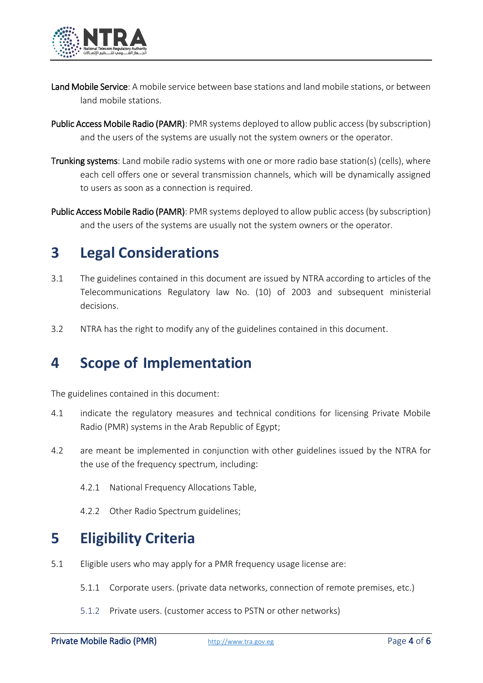

- Land Mobile Service: A mobile service between base stations and land mobile stations, or between land mobile stations.
- Public Access Mobile Radio (PAMR): PMR systems deployed to allow public access (by subscription) and the users of the systems are usually not the system owners or the operator.
- Trunking systems: Land mobile radio systems with one or more radio base station(s) (cells), where each cell offers one or several transmission channels, which will be dynamically assigned to users as soon as a connection is required.
- Public Access Mobile Radio (PAMR): PMR systems deployed to allow public access (by subscription) and the users of the systems are usually not the system owners or the operator.

# **3 Legal Considerations**

- 3.1 The guidelines contained in this document are issued by NTRA according to articles of the Telecommunications Regulatory law No. (10) of 2003 and subsequent ministerial decisions.
- 3.2 NTRA has the right to modify any of the guidelines contained in this document.

#### **4 Scope of Implementation**

The guidelines contained in this document:

- 4.1 indicate the regulatory measures and technical conditions for licensing Private Mobile Radio (PMR) systems in the Arab Republic of Egypt;
- 4.2 are meant be implemented in conjunction with other guidelines issued by the NTRA for the use of the frequency spectrum, including:
	- 4.2.1 National Frequency Allocations Table,
	- 4.2.2 Other Radio Spectrum guidelines;

# **5 Eligibility Criteria**

- 5.1 Eligible users who may apply for a PMR frequency usage license are:
	- 5.1.1 Corporate users. (private data networks, connection of remote premises, etc.)
	- 5.1.2 Private users. (customer access to PSTN or other networks)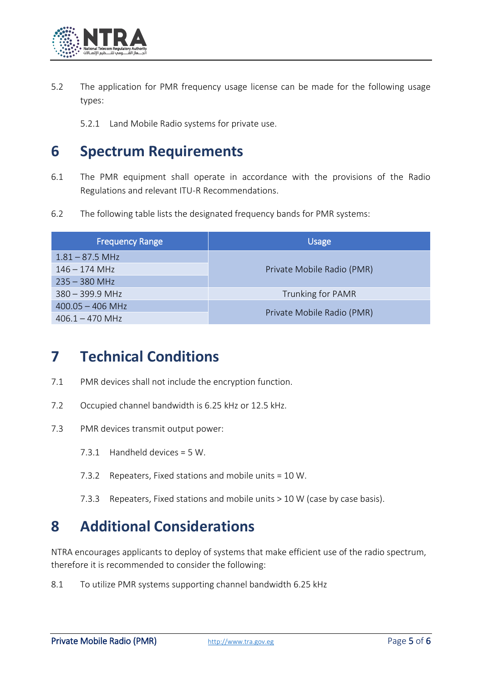

- 5.2 The application for PMR frequency usage license can be made for the following usage types:
	- 5.2.1 Land Mobile Radio systems for private use.

#### **6 Spectrum Requirements**

- 6.1 The PMR equipment shall operate in accordance with the provisions of the Radio Regulations and relevant ITU-R Recommendations.
- 6.2 The following table lists the designated frequency bands for PMR systems:

| <b>Frequency Range</b> | <b>Usage</b>               |
|------------------------|----------------------------|
| $1.81 - 87.5$ MHz      | Private Mobile Radio (PMR) |
| $146 - 174$ MHz        |                            |
| $235 - 380$ MHz        |                            |
| $380 - 399.9$ MHz      | Trunking for PAMR          |
| $400.05 - 406$ MHz     | Private Mobile Radio (PMR) |
| $406.1 - 470$ MHz      |                            |

#### **7 Technical Conditions**

- 7.1 PMR devices shall not include the encryption function.
- 7.2 Occupied channel bandwidth is 6.25 kHz or 12.5 kHz.
- 7.3 PMR devices transmit output power:
	- 7.3.1 Handheld devices = 5 W.
	- 7.3.2 Repeaters, Fixed stations and mobile units = 10 W.
	- 7.3.3 Repeaters, Fixed stations and mobile units > 10 W (case by case basis).

# **8 Additional Considerations**

NTRA encourages applicants to deploy of systems that make efficient use of the radio spectrum, therefore it is recommended to consider the following:

8.1 To utilize PMR systems supporting channel bandwidth 6.25 kHz